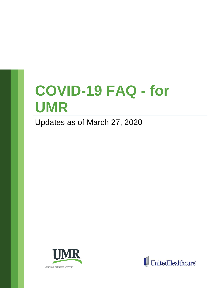# **COVID-19 FAQ - for UMR**

Updates as of March 27, 2020



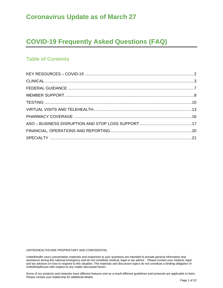## **Coronavirus Update as of March 27**

# **COVID-19 Frequently Asked Questions (FAQ)**

## **Table of Contents**

UNITEDHEALTHCARE PROPRIETARY AND CONFIDENTIAL

UnitedHealth care's presentation materials and responses to your questions are intended to provide general information and assistance during this national emergency and do not constitute medical, legal or tax advice. Please contact your medical, legal and tax advisors on how to respond to this situation. The materials and discussion topics do not constitute a binding obligation of UnitedHealthcare with respect to any matter discussed herein.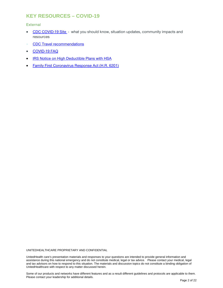## <span id="page-2-0"></span>**KEY RESOURCES – COVID-19**

#### **External**

- [CDC COVID-19 Site](https://www.cdc.gov/coronavirus/2019-nCoV/index.html)  what you should know, situation updates, community impacts and resources
- [CDC Travel recommendations](https://www.cdc.gov/coronavirus/2019-ncov/travelers/index.html?hpid=ec0df367-28c1-4e0e-9fe3-20521c31f849&hlkid=0d966159d56741d1a8616b32131d2c62&hctky=)
- [COVID-19 FAQ](https://www.uhc.com/)
- **[IRS Notice on High Deductible Plans with HSA](https://www.irs.gov/pub/irs-drop/n-20-15.pdf)**
- [Family First Coronavirus Response Act \(H.R. 6201\)](https://www.congress.gov/bill/116th-congress/house-bill/6201)

UNITEDHEALTHCARE PROPRIETARY AND CONFIDENTIAL

UnitedHealth care's presentation materials and responses to your questions are intended to provide general information and assistance during this national emergency and do not constitute medical, legal or tax advice. Please contact your medical, legal and tax advisors on how to respond to this situation. The materials and discussion topics do not constitute a binding obligation of UnitedHealthcare with respect to any matter discussed herein.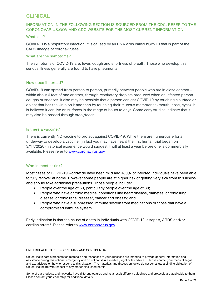## <span id="page-3-0"></span>**CLINICAL**

#### INFORMATION IN THE FOLLOWING SECTION IS SOURCED FROM THE CDC. REFER TO THE CORONOVARIUS.GOV AND CDC WEBSITE FOR THE MOST CURRENT INFORMATION.

#### What is it?

COVID-19 is a respiratory infection. It is caused by an RNA virus called nCoV19 that is part of the SARS lineage of coronaviruses.

#### What are the symptoms?

The symptoms of COVID-19 are: fever, cough and shortness of breath. Those who develop this serious illness generally are found to have pneumonia.

#### How does it spread?

COVID-19 can spread from person to person, primarily between people who are in close contact – within about 6 feet of one another, through respiratory droplets produced when an infected person coughs or sneezes. It also may be possible that a person can get COVID-19 by touching a surface or object that has the virus on it and then by touching their mucous membranes (mouth, nose, eyes). It is believed it can live on surfaces in the range of hours to days. Some early studies indicate that it may also be passed through stool/feces.

#### Is there a vaccine?

There is currently NO vaccine to protect against COVID-19. While there are numerous efforts underway to develop a vaccine, (in fact you may have heard the first human trial began on 3/17/2020) historical experience would suggest it will at least a year before one is commercially available. Please refer to [www.coronavirus.gov](http://www.coronavirus.gov/)

#### Who is most at risk?

Most cases of COVID-19 worldw[i](#page-22-0)de have been mild and >80%<sup>i</sup> of infected individuals have been able to fully recover at home. However some people are at higher risk of getting very sick from this illness and should take additional precautions. Those people include:

- People over the age of 60, particularly people over the age of 80;
- People who have chronic medical conditions like heart disease, diabetes, chronic lung disease, chronic renal disease<sup>[ii](#page-22-1)</sup>, cancer and obesity; and
- People who have a suppressed immune system from medications or those that have a compromised immune system.

Early indication is that the cause of death in individuals with COVID-19 is sepsis, ARDS and/or cardiac arrest<sup>iii</sup>. Please refer to [www.coronavirus.gov.](http://www.coronavirus.gov/)

#### UNITEDHEALTHCARE PROPRIETARY AND CONFIDENTIAL

UnitedHealth care's presentation materials and responses to your questions are intended to provide general information and assistance during this national emergency and do not constitute medical, legal or tax advice. Please contact your medical, legal and tax advisors on how to respond to this situation. The materials and discussion topics do not constitute a binding obligation of UnitedHealthcare with respect to any matter discussed herein.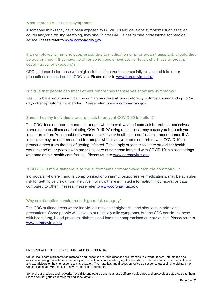#### What should I do if I have symptoms?

If someone thinks they have been exposed to COVID-19 and develops symptoms such as fever, cough and/or difficulty breathing, they should first CALL a health care professional for medical advice. Please refer to [www.coronavirus.gov.](http://www.coronavirus.gov/)

If an employee is immune suppressed due to medication or prior organ transplant, should they be quarantined if they have no other conditions or symptoms (fever, shortness of breath, cough, travel or exposure)?

CDC guidance is for those with high risk to self-quarantine or socially isolate and take other precautions outlined on the CDC site. Please refer to [www.coronavirus.gov.](http://www.coronavirus.gov/)

#### Is it true that people can infect others before they themselves show any symptoms?

Yes. It is believed a person can be contagious several days before symptoms appear and up to 14 days after symptoms have ended. Please refer to [www.coronavirus.gov.](http://www.coronavirus.gov/)

#### Should healthy individuals wear a mask to prevent COVID-19 infection?

The CDC does not recommend that people who are well wear a facemask to protect themselves from respiratory illnesses, including COVID-19. Wearing a facemask may cause you to touch your face more often. You should only wear a mask if your health care professional recommends it. A facemask may be recommended for people who have symptoms consistent with COVID-19 to protect others from the risk of getting infected. The supply of face masks are crucial for health workers and other people who are taking care of someone infected with COVID-19 in close settings (at home or in a health care facility). Please refer to [www.coronavirus.gov.](http://www.coronavirus.gov/)

#### Is COVID-19 more dangerous to the autoimmune compromised than the common flu?

Individuals, who are immune compromised or on immunosuppressive medications, may be at higher risk for getting very sick from the virus. For now there is limited information in comparative data compared to other illnesses. Please refer to [www.coronavirus.gov.](http://www.coronavirus.gov/)

#### Why are diabetics considered a higher risk category?

The CDC outlined areas where individuals may be at higher risk and should take additional precautions. Some people will have no or relatively mild symptoms, but the CDC considers those with heart, lung, blood pressure, diabetes and immune compromised at more at risk. Please refer to [www.coronavirus.gov](http://www.coronavirus.gov/)

#### UNITEDHEALTHCARE PROPRIETARY AND CONFIDENTIAL

UnitedHealth care's presentation materials and responses to your questions are intended to provide general information and assistance during this national emergency and do not constitute medical, legal or tax advice. Please contact your medical, legal and tax advisors on how to respond to this situation. The materials and discussion topics do not constitute a binding obligation of UnitedHealthcare with respect to any matter discussed herein.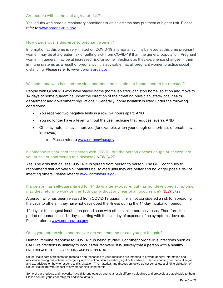#### Are people with asthma at a greater risk?

Yes, adults with chronic respiratory conditions such as asthma may put them at higher risk. Please refer to [www.coronavirus.gov](http://www.coronavirus.gov/)

#### How dangerous is this virus to pregnant women?

Information at this time is very limited on COVID-19 in pregnancy. It is believed at this time pregnant women may be at a greater risk of getting sick from COVID-19 than the general population. Pregnant women in general may be at increased risk for some infections as they experience changes in their immune systems as a result of pregnancy. It is advisable that all pregnant women practice social distancing. Please refer to [www.coronavirus.gov](http://www.coronavirus.gov/)

#### Will someone who has had the virus and been on isolation at home need to be retested?

People with COVID-19 who have stayed home (home isolated) can stop home isolation and move to 14 days of home quarantine under the direction of their treating physician, state/local health department and government regulations.<sup>[iv](#page-22-3)</sup> Generally, home isolation is lifted under the following conditions:

- You received two negative tests in a row, 24 hours apart. AND
- You no longer have a fever (without the use medicine that reduces fevers). AND
- Other symptoms have improved (for example, when your cough or shortness of breath have improved)
	- o Please refer to [www.coronavirus.gov.](http://www.coronavirus.gov/)

#### If someone is near another person with COVID, but the person doesn't cough or sneeze, are you at risk of contracting this disease? NEW 3/27

Yes. The virus that causes COVID-19 is spread from person to person. The CDC continues to recommend that actively sick patients be isolated until they are better and no longer pose a risk of infecting others. Please refer to [www.coronavirus.gov](http://www.coronavirus.gov/)

#### If a person has self-quarantined for 14 days after exposure, but has not developed symptoms, may they return to work on the 15th day without any fear of an occurrence? NEW 3/27

A person who has been released from COVID-19 quarantine is not considered a risk for spreading the virus to others if they have not developed the illness during the 14-day incubation period.

14 days is the longest incubation period seen with other similar corona viruses. Therefore, the period of quarantine is 14 days, starting with the last day of exposure if no symptoms develop. Please refer to [www.coronavirus.gov](http://www.coronavirus.gov/)

#### Once you get the virus and recover are you immune or can you get it again?

UNITEDHEALTHCARE PROPRIETARY AND CONFIDENTIAL Human immune response to COVID-19 is being studied. For other coronavirus infections such as SARS reinfections is unlikely to occur after recovery. It is unlikely that a person with a healthy

UnitedHealth care's presentation materials and responses to your questions are intended to provide general information and assistance during this national emergency and do not constitute medical, legal or tax advice. Please contact your medical, legal and tax advisors on how to respond to this situation. The materials and discussion topics do not constitute a binding obligation of UnitedHealthcare with respect to any matter discussed herein.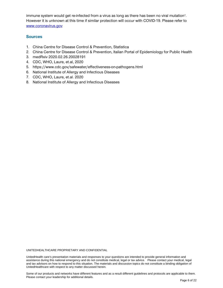immune system would get re-infected from a [v](#page-22-4)irus as long as there has been no viral mutation<sup>v</sup>. However it is unknown at this time if similar protection will occur with COVID-19. Please refer to [www.coronavirus.gov](http://www.coronavirus.gov/)

#### **Sources**

- 1. China Centre for Disease Control & Prevention, Statistica
- 2. China Centre for Disease Control & Prevention, Italian Portal of Epidemiology for Public Health
- 3. medRxiv 2020.02.26.20028191
- 4. CDC, WHO, Laure, et.al, 2020
- 5. https://www.cdc.gov/safewater/effectiveness-on-pathogens.html
- 6. National Institute of Allergy and Infectious Diseases
- 7. CDC, WHO, Laure, et.al. 2020
- 8. National Institute of Allergy and Infectious Diseases

UNITEDHEALTHCARE PROPRIETARY AND CONFIDENTIAL

UnitedHealth care's presentation materials and responses to your questions are intended to provide general information and assistance during this national emergency and do not constitute medical, legal or tax advice. Please contact your medical, legal and tax advisors on how to respond to this situation. The materials and discussion topics do not constitute a binding obligation of UnitedHealthcare with respect to any matter discussed herein.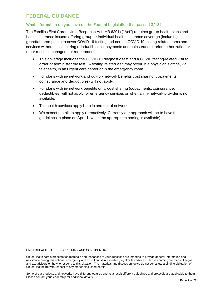## <span id="page-7-0"></span>**FEDERAL GUIDANCE**

#### What information do you have on the Federal Legislation that passed 3/18?

The Families First Coronavirus Response Act (HR 6201) ("Act") requires group health plans and health insurance issuers offering group or individual health insurance coverage (including grandfathered plans) to cover COVID-19 testing and certain COVID-19 testing related items and services without cost sharing ( deductibles, copayments and coinsurance), prior authorization or other medical management requirements.

- This coverage includes the COVID-19 diagnostic test and a COVID testing-related visit to order or administer the test. A testing related visit may occur in a physician's office, via telehealth, in an urgent care center or in the emergency room.
- For plans with in- network and out- of- network benefits cost sharing (copayments, coinsurance and deductibles) will not apply.
- For plans with in- network benefits only, cost sharing (copayments, coinsurance, deductibles) will not apply for emergency services or when an in- network provider is not available.
- Telehealth services apply both in and out-of-network.
- We expect the bill to apply retroactively. Currently our approach will be to have these guidelines in place on April 1 (when the appropriate coding is available).

UNITEDHEALTHCARE PROPRIETARY AND CONFIDENTIAL

UnitedHealth care's presentation materials and responses to your questions are intended to provide general information and assistance during this national emergency and do not constitute medical, legal or tax advice. Please contact your medical, legal and tax advisors on how to respond to this situation. The materials and discussion topics do not constitute a binding obligation of UnitedHealthcare with respect to any matter discussed herein.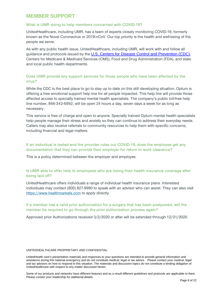### <span id="page-8-0"></span>**MEMBER SUPPORT**

#### What is UMR doing to help members concerned with COVID-19?

UnitedHealthcare, including UMR, has a team of experts closely monitoring COVID-19, formerly known as the Novel Coronavirus or 2019-nCoV. Our top priority is the health and well-being of the people we serve.

As with any public health issue, UnitedHealthcare, including UMR, will work with and follow all guidance and protocols issued by the [U.S. Centers for Disease Control and Prevention \(CDC\)](https://www.cdc.gov/coronavirus/2019-ncov/about/index.html), Centers for Medicare & Medicaid Services (CMS), Food and Drug Administration (FDA), and state and local public health departments.

#### Does UMR provide any support services for those people who have been affected by the virus?

While the CDC is the best place to go to stay up to date on this still developing situation, Optum is offering a free emotional support help line for all people impacted. This help line will provide those affected access to specially trained mental health specialists. The company's public toll-free help line number, 866-342-6892, will be open 24 hours a day, seven days a week for as long as necessary.

This service is free of charge and open to anyone. Specially trained Optum mental health specialists help people manage their stress and anxiety so they can continue to address their everyday needs. Callers may also receive referrals to community resources to help them with specific concerns, including financial and legal matters.

#### If an individual is tested and the provider rules out COVID-19, does the employee get any documentation that they can provide their employer for return to work clearance?

This is a policy determined between the employer and employee.

#### Is UMR able to offer help to employees who are losing their health insurance coverage after being laid off?

UnitedHealthcare offers individuals a range of individual health insurance plans. Interested individuals may contact (800) 827-9990 to speak with an advisor who can assist. They can also visit [https://www.healthmarkets.com](https://www.healthmarkets.com/) to apply directly.

#### If a member has a valid prior authorization for a surgery that has been postponed, will the member be required to go through the prior authorization process again?

Approved prior Authorizations received 3/2/2020 or after will be extended through 12/31/2020.

#### UNITEDHEALTHCARE PROPRIETARY AND CONFIDENTIAL

UnitedHealth care's presentation materials and responses to your questions are intended to provide general information and assistance during this national emergency and do not constitute medical, legal or tax advice. Please contact your medical, legal and tax advisors on how to respond to this situation. The materials and discussion topics do not constitute a binding obligation of UnitedHealthcare with respect to any matter discussed herein.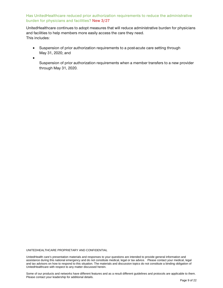#### Has UnitedHealthcare reduced prior authorization requirements to reduce the administrative burden for physicians and facilities? New 3/27

UnitedHealthcare continues to adopt measures that will reduce administrative burden for physicians and facilities to help members more easily access the care they need. This includes:

- Suspension of prior authorization requirements to a post-acute care setting through May 31, 2020; and
- •

Suspension of prior authorization requirements when a member transfers to a new provider through May 31, 2020.

UNITEDHEALTHCARE PROPRIETARY AND CONFIDENTIAL

UnitedHealth care's presentation materials and responses to your questions are intended to provide general information and assistance during this national emergency and do not constitute medical, legal or tax advice. Please contact your medical, legal and tax advisors on how to respond to this situation. The materials and discussion topics do not constitute a binding obligation of UnitedHealthcare with respect to any matter discussed herein.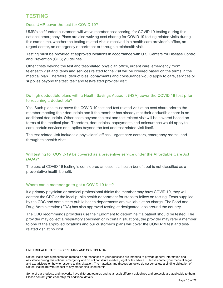## <span id="page-10-0"></span>**TESTING**

#### Does UMR cover the test for COVID-19?

UMR's self-funded customers will waive member cost sharing, for COVID-19 testing during this national emergency. Plans are also waiving cost sharing for COVID-19 testing related visits during this same time, whether the testing related visit is received in a health care provider's office, an urgent center, an emergency department or through a telehealth visit.

Testing must be provided at approved locations in accordance with U.S. Centers for Disease Control and Prevention (CDC) guidelines.

Other costs beyond the test and test-related physician office, urgent care, emergency room, telehealth visit and items and services related to the visit will be covered based on the terms in the medical plan. Therefore, deductibles, copayments and coinsurance would apply to care, services or supplies beyond the test itself and test-related provider visit.

#### Do high-deductible plans with a Health Savings Account (HSA) cover the COVID-19 test prior to reaching a deductible?

Yes. Such plans must cover the COVID-19 test and test-related visit at no cost share prior to the member meeting their deductible and if the member has already met their deductible there is no additional deductible. Other costs beyond the test and test-related visit will be covered based on terms of the medical plan. Therefore, deductibles, copayments and coinsurance would apply to care, certain services or supplies beyond the test and test-related visit itself.

The test-related visit includes a physicians' offices, urgent care centers, emergency rooms, and through telehealth visits.

#### Will testing for COVID-19 be covered as a preventive service under the Affordable Care Act (ACA)?

The cost of COVID-19 testing is considered an essential health benefit but is not classified as a preventative health benefit.

#### Where can a member go to get a COVID-19 test?

If a primary physician or medical professional thinks the member may have COVID-19, they will contact the CDC or the local public health department for steps to follow on testing. Tests supplied by the CDC and some state public health departments are available at no charge. The Food and Drug Administration (FDA) has also approved testing at designated labs around the country.

The CDC recommends providers use their judgment to determine if a patient should be tested. The provider may collect a respiratory specimen or in certain situations, the provider may refer a member to one of the approved locations and our customer's plans will cover the COVID-19 test and testrelated visit at no cost.

#### UNITEDHEALTHCARE PROPRIETARY AND CONFIDENTIAL

UnitedHealth care's presentation materials and responses to your questions are intended to provide general information and assistance during this national emergency and do not constitute medical, legal or tax advice. Please contact your medical, legal and tax advisors on how to respond to this situation. The materials and discussion topics do not constitute a binding obligation of UnitedHealthcare with respect to any matter discussed herein.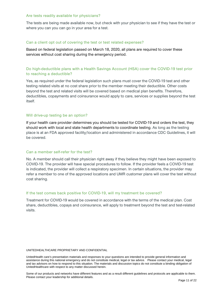#### Are tests readily available for physicians?

The tests are being made available now, but check with your physician to see if they have the test or where you can you can go in your area for a test.

#### Can a client opt out of covering the test or test related expenses?

Based on federal legislation passed on March 18, 2020, all plans are required to cover these services without cost sharing during the emergency period.

#### Do high-deductible plans with a Health Savings Account (HSA) cover the COVID-19 test prior to reaching a deductible?

Yes, as required under the federal legislation such plans must cover the COVID-19 test and other testing related visits at no cost share prior to the member meeting their deductible. Other costs beyond the test and related visits will be covered based on medical plan benefits. Therefore, deductibles, copayments and coinsurance would apply to care, services or supplies beyond the test itself.

#### Will drive-up testing be an option?

If your health care provider determines you should be tested for COVID-19 and orders the test, they should work with local and state health departments to coordinate testing. As long as the testing place is at an FDA approved facility/location and administered in accordance CDC Guidelines, it will be covered.

#### Can a member self-refer for the test?

No. A member should call their physician right away if they believe they might have been exposed to COVID-19. The provider will have special procedures to follow. If the provider feels a COVID-19 test is indicated, the provider will collect a respiratory specimen. In certain situations, the provider may refer a member to one of the approved locations and UMR customer plans will cover the test without cost sharing.

#### If the test comes back positive for COVID-19, will my treatment be covered?

Treatment for COVID-19 would be covered in accordance with the terms of the medical plan. Cost share, deductibles, copays and coinsurance, will apply to treatment beyond the test and test-related visits.

#### UNITEDHEALTHCARE PROPRIETARY AND CONFIDENTIAL

UnitedHealth care's presentation materials and responses to your questions are intended to provide general information and assistance during this national emergency and do not constitute medical, legal or tax advice. Please contact your medical, legal and tax advisors on how to respond to this situation. The materials and discussion topics do not constitute a binding obligation of UnitedHealthcare with respect to any matter discussed herein.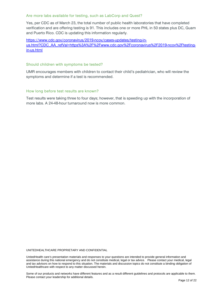#### Are more labs available for testing, such as LabCorp and Quest?

Yes, per CDC as of March 23, the total number of public health laboratories that have completed verification and are offering testing is 91. This includes one or more PHL in 50 states plus DC, Guam and Puerto Rico. CDC is updating this information regularly.

[https://www.cdc.gov/coronavirus/2019-ncov/cases-updates/testing-in](https://www.cdc.gov/coronavirus/2019-ncov/cases-updates/testing-in-us.html?CDC_AA_refVal=https%3A%2F%2Fwww.cdc.gov%2Fcoronavirus%2F2019-ncov%2Ftesting-in-us.html)[us.html?CDC\\_AA\\_refVal=https%3A%2F%2Fwww.cdc.gov%2Fcoronavirus%2F2019-ncov%2Ftesting](https://www.cdc.gov/coronavirus/2019-ncov/cases-updates/testing-in-us.html?CDC_AA_refVal=https%3A%2F%2Fwww.cdc.gov%2Fcoronavirus%2F2019-ncov%2Ftesting-in-us.html)[in-us.html](https://www.cdc.gov/coronavirus/2019-ncov/cases-updates/testing-in-us.html?CDC_AA_refVal=https%3A%2F%2Fwww.cdc.gov%2Fcoronavirus%2F2019-ncov%2Ftesting-in-us.html)

#### Should children with symptoms be tested?

UMR encourages members with children to contact their child's pediatrician, who will review the symptoms and determine if a test is recommended.

#### How long before test results are known?

Test results were taking three to four days; however, that is speeding up with the incorporation of more labs. A 24-48-hour turnaround now is more common.

UNITEDHEALTHCARE PROPRIETARY AND CONFIDENTIAL

UnitedHealth care's presentation materials and responses to your questions are intended to provide general information and assistance during this national emergency and do not constitute medical, legal or tax advice. Please contact your medical, legal and tax advisors on how to respond to this situation. The materials and discussion topics do not constitute a binding obligation of UnitedHealthcare with respect to any matter discussed herein.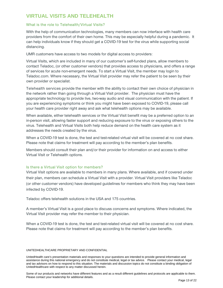## <span id="page-13-0"></span>**VIRTUAL VISITS AND TELEHEALTH**

#### What is the role to Telehealth/Virtual Visits?

With the help of communication technologies, many members can now interface with health care providers from the comfort of their own home. This may be especially helpful during a pandemic. It can help individuals know if they should get a COVID-19 test for the virus while supporting social distancing.

UMR customers have access to two models for digital access to providers:

Virtual Visits, which are included in many of our customer's self-funded plans, allow members to contact Teladoc, (or other customer vendors) that provides access to physicians, and offers a range of services for acute non-emergent needs. To start a Virtual Visit, the member may login to Teladoc.com. Where necessary, the Virtual Visit provider may refer the patient to be seen by their own provider or specialist.

Telehealth services provide the member with the ability to contact their own choice of physician in the network rather than going through a Virtual Visit provider. The physician must have the appropriate technology to provide live, two-way audio and visual communication with the patient. If you are experiencing symptoms or think you might have been exposed to COVID-19, please call your health care provider right away and ask what telehealth options may be available.

When available, either telehealth services or the Virtual Visit benefit may be a preferred option to an in-person visit, allowing faster support and reducing exposure to the virus or exposing others to the virus. Telehealth and Virtual Visits both help reduce demand on the health care system as it addresses the needs created by the virus.

When a COVID-19 test is done, the test and test-related virtual visit will be covered at no cost share. Please note that claims for treatment will pay according to the member's plan benefits.

Members should consult their plan and/or their provider for information on and access to either Virtual Visit or Telehealth options.

#### Is there a Virtual Visit option for members?

Virtual Visit options are available to members in many plans. Where available, and if covered under their plan, members can schedule a Virtual Visit with a provider. Virtual Visit providers like Teladoc (or other customer vendors) have developed guidelines for members who think they may have been infected by COVID-19.

Teladoc offers telehealth solutions in the USA and 175 countries.

A member's Virtual Visit is a good place to discuss concerns and symptoms. Where indicated, the Virtual Visit provider may refer the member to their physician.

When a COVID-19 test is done, the test and test-related virtual visit will be covered at no cost share. Please note that claims for treatment will pay according to the member's plan benefits.

#### UNITEDHEALTHCARE PROPRIETARY AND CONFIDENTIAL

UnitedHealth care's presentation materials and responses to your questions are intended to provide general information and assistance during this national emergency and do not constitute medical, legal or tax advice. Please contact your medical, legal and tax advisors on how to respond to this situation. The materials and discussion topics do not constitute a binding obligation of UnitedHealthcare with respect to any matter discussed herein.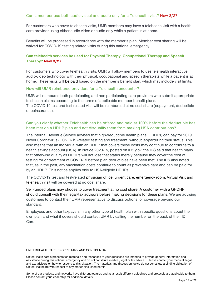#### Can a member use both audio-visual and audio only for a Telehealth visit? New 3/27

For customers who cover telehealth visits, UMR members may have a telehealth visit with a health care provider using either audio-video or audio-only while a patient is at home.

Benefits will be processed in accordance with the member's plan. Member cost sharing will be waived for COVID-19 testing related visits during this national emergency.

#### **Can telehealth services be used for Physical Therapy, Occupational Therapy and Speech Therapy? New 3/27**

For customers who cover telehealth visits, UMR will allow members to use telehealth interactive audio-video technology with their physical, occupational and speech therapists while a patient is at home. These visits will be paid based on the member's benefit plan, which may include visit limits.

#### How will UMR reimburse providers for a Telehealth encounter?

UMR will reimburse both participating and non-participating care providers who submit appropriate telehealth claims according to the terms of applicable member benefit plans. The COVID-19 test and test-related visit will be reimbursed at no cost share (copayment, deductible or coinsurance).

#### Can you clarify whether Telehealth can be offered and paid at 100% before the deductible has been met on a HDHP plan and not disqualify them from making HSA contributions?

The Internal Revenue Service advised that high-deductible health plans (HDHPs) can pay for 2019 Novel Coronavirus (COVID-19)-related testing and treatment, without jeopardizing their status. This also means that an individual with an HDHP that covers these costs may continue to contribute to a health savings account (HSA). In Notice 2020-15, posted on IRS.gov, the IRS said that health plans that otherwise qualify as HDHPs will not lose that status merely because they cover the cost of testing for or treatment of COVID-19 before plan deductibles have been met. The IRS also noted that, as in the past, any vaccination costs continue to count as preventive care and can be paid for by an HDHP. This notice applies only to HSA-eligible HDHPs.

The COVID-19 test and test-related physician office, urgent care, emergency room, Virtual Visit and telehealth visit will be covered at no cost share.

Self-funded plans may choose to cover treatment at no cost share. A customer with a QHDHP should consult with their legal/tax advisors before making decisions for these plans. We are advising customers to contact their UMR representative to discuss options for coverage beyond our standard.

Employees and other taxpayers in any other type of health plan with specific questions about their own plan and what it covers should contact UMR by calling the number on the back of their ID Card.

#### UNITEDHEALTHCARE PROPRIETARY AND CONFIDENTIAL

UnitedHealth care's presentation materials and responses to your questions are intended to provide general information and assistance during this national emergency and do not constitute medical, legal or tax advice. Please contact your medical, legal and tax advisors on how to respond to this situation. The materials and discussion topics do not constitute a binding obligation of UnitedHealthcare with respect to any matter discussed herein.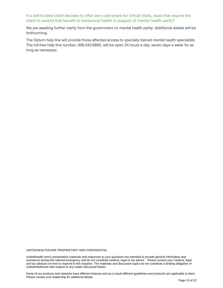#### If a self-funded client decides to offer zero cost-share for Virtual Visits, does that require the client to extend that benefit to behavioral health in support of mental health parity?

We are awaiting further clarity from the government on mental health parity. Additional details will be forthcoming.

The Optum help line will provide those affected access to specially trained mental health specialists. The toll-free help line number, 866-342-6892, will be open 24 hours a day, seven days a week for as long as necessary.

UNITEDHEALTHCARE PROPRIETARY AND CONFIDENTIAL

UnitedHealth care's presentation materials and responses to your questions are intended to provide general information and assistance during this national emergency and do not constitute medical, legal or tax advice. Please contact your medical, legal and tax advisors on how to respond to this situation. The materials and discussion topics do not constitute a binding obligation of UnitedHealthcare with respect to any matter discussed herein.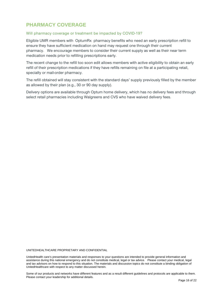## <span id="page-16-0"></span>**PHARMACY COVERAGE**

#### Will pharmacy coverage or treatment be impacted by COVID-19?

Eligible UMR members with OptumRx pharmacy benefits who need an early prescription refill to ensure they have sufficient medication on hand may request one through their current pharmacy. We encourage members to consider their current supply as well as their near term medication needs prior to refilling prescriptions early.

The recent change to the refill too soon edit allows members with active eligibility to obtain an early refill of their prescription medications if they have refills remaining on file at a participating retail, specialty or mail-order pharmacy.

The refill obtained will stay consistent with the standard days' supply previously filled by the member as allowed by their plan (e.g., 30 or 90 day supply).

Delivery options are available through Optum home delivery, which has no delivery fees and through select retail pharmacies including Walgreens and CVS who have waived delivery fees.

UNITEDHEALTHCARE PROPRIETARY AND CONFIDENTIAL

UnitedHealth care's presentation materials and responses to your questions are intended to provide general information and assistance during this national emergency and do not constitute medical, legal or tax advice. Please contact your medical, legal and tax advisors on how to respond to this situation. The materials and discussion topics do not constitute a binding obligation of UnitedHealthcare with respect to any matter discussed herein.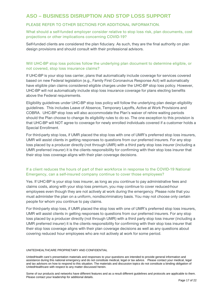## <span id="page-17-0"></span>**ASO – BUSINESS DISRUPTION AND STOP LOSS SUPPORT**

#### PLEASE REFER TO OTHER SECTIONS FOR ADDITIONAL INFORMATION.

#### What should a self-funded employer consider relative to stop loss risk, plan documents, cost projections or other implications concerning COVID-19?

Self-funded clients are considered the plan fiduciary. As such, they are the final authority on plan design provisions and should consult with their professional advisors.

#### Will UHC-BP stop loss policies follow the underlying plan document to determine eligible, or not covered, stop loss insurance claims?

If UHC-BP is your stop loss carrier, plans that automatically include coverage for services covered based on new Federal legislation (e.g., Family First Coronavirus Response Act) will automatically have eligible plan claims considered eligible charges under the UHC-BP stop loss policy. However, UHC-BP will not automatically include stop loss insurance coverage for plans electing benefits above the Federal requirements.

Eligibility guidelines under UHC-BP stop loss policy will follow the underlying plan design eligibility guidelines. This includes Leave of Absence, Temporary Layoffs, Active at Work Provisions and COBRA. UHC-BP stop loss will also accommodate the Plan's waiver of rehire waiting periods should the Plan choose to change its eligibility rules to do so. The one exception to this provision is that UHC-BP will NOT agree to coverage for newly enrolled individuals covered if a customer holds a Special Enrollment.

For third-party stop loss, if UMR placed the stop loss with one of UMR's preferred stop loss insurers, UMR will assist clients in getting responses to questions from our preferred insurers. For any stop loss placed by a producer directly (not through UMR) with a third party stop loss insurer (including a UMR preferred insurer) it is the clients responsibility for confirming with their stop loss insurer that their stop loss coverage aligns with their plan coverage decisions.

#### If a client reduces the hours of part of their workforce in response to the COVID-19 National Emergency, can a self-insured company continue to cover those employees?

Yes. If UHC-BP is your stop loss insurer, as long as you continue to pay administrative fees and claims costs, along with your stop loss premium, you may continue to cover reduced-hour employees even though they are not actively at work during the emergency. Please note that you must administer the plan on a uniform, nondiscriminatory basis. You may not choose only certain people for whom you continue to pay claims.

For third-party stop loss, if UMR placed the stop loss with one of UMR's preferred stop loss insurers, UMR will assist clients in getting responses to questions from our preferred insurers. For any stop loss placed by a producer directly (not through UMR) with a third party stop loss insurer (including a UMR preferred insurer) it is the clients responsibility for confirming with their stop loss insurer that their stop loss coverage aligns with their plan coverage decisions as well as any questions about covering reduced hour employees who are not actively at work for some period.

#### UNITEDHEALTHCARE PROPRIETARY AND CONFIDENTIAL

UnitedHealth care's presentation materials and responses to your questions are intended to provide general information and assistance during this national emergency and do not constitute medical, legal or tax advice. Please contact your medical, legal and tax advisors on how to respond to this situation. The materials and discussion topics do not constitute a binding obligation of UnitedHealthcare with respect to any matter discussed herein.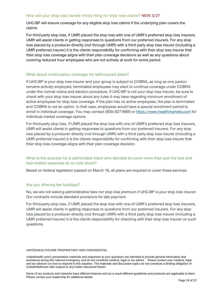#### How will your stop loss handle timely filing for stop loss claims? NEW 3/27

UHC-BP will ensure coverage for any eligible stop loss claims if the underlying plan covers the claims

For third-party stop loss, if UMR placed the stop loss with one of UMR's preferred stop loss insurers, UMR will assist clients in getting responses to questions from our preferred insurers. For any stop loss placed by a producer directly (not through UMR) with a third party stop loss insurer (including a UMR preferred insurer) it is the clients responsibility for confirming with their stop loss insurer that their stop loss coverage aligns with their plan coverage decisions as well as any questions about covering reduced hour employees who are not actively at work for some period.

#### What about continuation coverage for self-insured plans?

If UHC-BP is your stop loss insurer and your group is subject to COBRA, as long as one person remains actively employed, terminated employees may elect to continue coverage under COBRA under the normal notice and election procedure. If UHC-BP is not your stop loss insurer, be sure to check with your stop loss insurer about any rules it may have regarding minimum enrollment of active employees for stop loss coverage. If the plan has no active employees, the plan is terminated and COBRA is not an option. In that case, employees would have a special enrollment period to enroll in individual coverage. You may contact (800) 827-9990 or [https://www.healthmarkets.com](https://www.healthmarkets.com/) for individual market coverage options.

For third-party stop loss, if UMR placed the stop loss with one of UMR's preferred stop loss insurers, UMR will assist clients in getting responses to questions from our preferred insurers. For any stop loss placed by a producer directly (not through UMR) with a third party stop loss insurer (including a UMR preferred insurer) it is the clients responsibility for confirming with their stop loss insurer that their stop loss coverage aligns with their plan coverage decision.

#### What is the process for a self-funded client who decides to cover more than just the test and test-related expenses at no cost share?

Based on federal legislation passed on March 18, all plans are required to cover these services.

#### Are you offering fee holidays?

No, we are not waiving administrative fees nor stop loss premium if UHC-BP is your stop loss insurer. Our contracts include standard provisions for late payment.

For third-party stop loss, if UMR placed the stop loss with one of UMR's preferred stop loss insurers, UMR will assist clients in getting responses to questions from our preferred insurers. For any stop loss placed by a producer directly (not through UMR) with a third party stop loss insurer (including a UMR preferred insurer) it is the clients responsibility for checking with their stop loss insurer on such questions.

#### UNITEDHEALTHCARE PROPRIETARY AND CONFIDENTIAL

UnitedHealth care's presentation materials and responses to your questions are intended to provide general information and assistance during this national emergency and do not constitute medical, legal or tax advice. Please contact your medical, legal and tax advisors on how to respond to this situation. The materials and discussion topics do not constitute a binding obligation of UnitedHealthcare with respect to any matter discussed herein.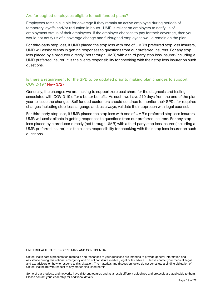#### Are furloughed employees eligible for self-funded plans?

Employees remain eligible for coverage if they remain an active employee during periods of temporary layoffs and/or reduction in hours. UMR is reliant on employers to notify us of employment status of their employees. If the employer chooses to pay for their coverage, then you would not notify us of a coverage change and furloughed employees would remain on the plan.

For third-party stop loss, if UMR placed the stop loss with one of UMR's preferred stop loss insurers, UMR will assist clients in getting responses to questions from our preferred insurers. For any stop loss placed by a producer directly (not through UMR) with a third party stop loss insurer (including a UMR preferred insurer) it is the clients responsibility for checking with their stop loss insurer on such questions.

#### Is there a requirement for the SPD to be updated prior to making plan changes to support COVID-19? New 3/27

Generally, the changes we are making to support zero cost share for the diagnosis and testing associated with COVID-19 offer a better benefit. As such, we have 210 days from the end of the plan year to issue the changes. Self-funded customers should continue to monitor their SPDs for required changes including stop loss language and, as always, validate their approach with legal counsel.

For third-party stop loss, if UMR placed the stop loss with one of UMR's preferred stop loss insurers, UMR will assist clients in getting responses to questions from our preferred insurers. For any stop loss placed by a producer directly (not through UMR) with a third party stop loss insurer (including a UMR preferred insurer) it is the clients responsibility for checking with their stop loss insurer on such questions.

#### UNITEDHEALTHCARE PROPRIETARY AND CONFIDENTIAL

UnitedHealth care's presentation materials and responses to your questions are intended to provide general information and assistance during this national emergency and do not constitute medical, legal or tax advice. Please contact your medical, legal and tax advisors on how to respond to this situation. The materials and discussion topics do not constitute a binding obligation of UnitedHealthcare with respect to any matter discussed herein.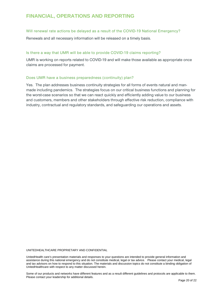## <span id="page-20-0"></span>**FINANCIAL, OPERATIONS AND REPORTING**

#### Will renewal rate actions be delayed as a result of the COVID-19 National Emergency?

Renewals and all necessary information will be released on a timely basis.

#### Is there a way that UMR will be able to provide COVID-19 claims reporting?

UMR is working on reports related to COVID-19 and will make those available as appropriate once claims are processed for payment.

#### Does UMR have a business preparedness (continuity) plan?

Yes. The plan addresses business continuity strategies for all forms of events natural and manmade including pandemics. The strategies focus on our critical business functions and planning for the worst-case scenarios so that we can react quickly and efficiently adding value to our business and customers, members and other stakeholders through effective risk reduction, compliance with industry, contractual and regulatory standards, and safeguarding our operations and assets.

UNITEDHEALTHCARE PROPRIETARY AND CONFIDENTIAL

UnitedHealth care's presentation materials and responses to your questions are intended to provide general information and assistance during this national emergency and do not constitute medical, legal or tax advice. Please contact your medical, legal and tax advisors on how to respond to this situation. The materials and discussion topics do not constitute a binding obligation of UnitedHealthcare with respect to any matter discussed herein.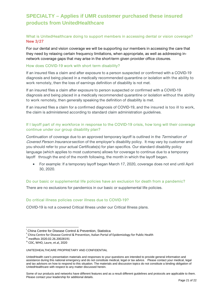## <span id="page-21-0"></span>**SPECIALTY – Applies if UMR customer purchased these insured products from UnitedHealthcare**

#### What is UnitedHealthcare doing to support members in accessing dental or vision coverage? New 3/27

For our dental and vision coverage we will be supporting our members in accessing the care that they need by relaxing certain frequency limitations, when appropriate, as well as addressing innetwork coverage gaps that may arise in the short-term given provider office closures.

#### How does COVID-19 work with short term disability?

If an insured files a claim and after exposure to a person suspected or confirmed with a COVID-19 diagnosis and being placed in a medically recommended quarantine or isolation with the ability to work remotely, then the loss of earnings definition of disability is not met.

If an insured files a claim after exposure to person suspected or confirmed with a COVID-19 diagnosis and being placed in a medically recommended quarantine or isolation without the ability to work remotely, then generally speaking the definition of disability is met.

If an insured files a claim for a confirmed diagnosis of COVID-19, and the insured is too ill to work, the claim is administered according to standard claim administration guidelines.

#### If I layoff part of my workforce in response to the COVID-19 crisis, how long will their coverage continue under our group disability plan?

Continuation of coverage due to an approved temporary layoff is outlined in the Termination of Covered Person Insurance section of the employer's disability policy. It may vary by customer and you should refer to your actual Certificate(s) for plan specifics. Our standard disability policy language (which applies to most customers) allows for coverage to continue due to a temporary layoff through the end of the month following, the month in which the layoff began.

• For example: If a temporary layoff began March 17, 2020, coverage does not end until April 30, 2020.

#### Do our basic or supplemental life policies have an exclusion for death from a pandemic?

There are no exclusions for pandemics in our basic or supplemental life policies.

#### Do critical illness policies cover illness due to COVID-19?

COVID-19 is not a covered Critical Illness under our Critical Illness plans.

i China Centre for Disease Control & Prevention, Statistica

<sup>&</sup>quot; China Centre for Disease Control & Prevention, Italian Portal of Epidemiology for Public Health<br><sup>iii</sup> medRxiv 2020.02.26.20028191<br><sup>iv</sup> CDC, WHO, Laure, et.al, 2020

UNITEDHEALTHCARE PROPRIETARY AND CONFIDENTIAL

UnitedHealth care's presentation materials and responses to your questions are intended to provide general information and assistance during this national emergency and do not constitute medical, legal or tax advice. Please contact your medical, legal and tax advisors on how to respond to this situation. The materials and discussion topics do not constitute a binding obligation of UnitedHealthcare with respect to any matter discussed herein.